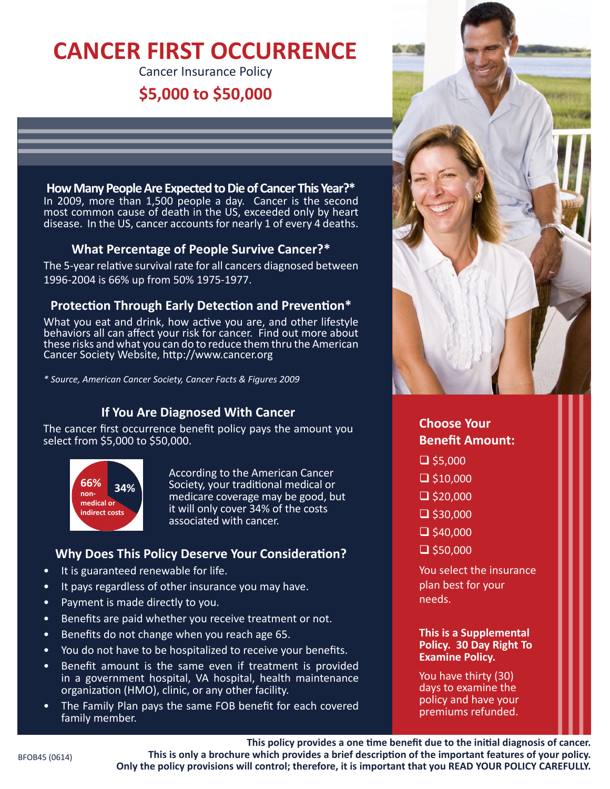# **CANCER FIRST OCCURRENCE**

Cancer Insurance Policy

# **\$5,000 to \$50,000**



In 2009, more than 1,500 people a day. Cancer is the second most common cause of death in the US, exceeded only by heart disease. In the US, cancer accounts for nearly 1 of every 4 deaths.

## **What Percentage of People Survive Cancer?\***

The 5-year relative survival rate for all cancers diagnosed between 1996-2004 is 66% up from 50% 1975-1977.

# **Protection Through Early Detection and Prevention\***

What you eat and drink, how active you are, and other lifestyle behaviors all can affect your risk for cancer. Find out more about these risks and what you can do to reduce them thru the American Cancer Society Website, http://www.cancer.org

*\* Source, American Cancer Society, Cancer Facts & Figures 2009*

# **If You Are Diagnosed With Cancer**

The cancer first occurrence benefit policy pays the amount you select from \$5,000 to \$50,000.



According to the American Cancer Society, your traditional medical or medicare coverage may be good, but it will only cover 34% of the costs associated with cancer.

## **Why Does This Policy Deserve Your Consideration?**

- It is guaranteed renewable for life.
- It pays regardless of other insurance you may have.
- Payment is made directly to you.
- Benefits are paid whether you receive treatment or not.
- Benefits do not change when you reach age 65.
- You do not have to be hospitalized to receive your benefits.
- Benefit amount is the same even if treatment is provided in a government hospital, VA hospital, health maintenance organization (HMO), clinic, or any other facility.
- The Family Plan pays the same FOB benefit for each covered family member.



# **Choose Your Benefit Amount:**

- $\Box$  \$5,000
- $\Box$  \$10,000
- $\Box$  \$20,000
- $\Box$  \$30,000
- 
- $\Box$  \$40,000
- $\Box$  \$50,000

You select the insurance plan best for your needs.

## **This is a Supplemental Policy. 30 Day Right To Examine Policy.**

You have thirty (30) days to examine the policy and have your premiums refunded.

**This policy provides a one time benefit due to the initial diagnosis of cancer. This is only a brochure which provides a brief description of the important features of your policy. Only the policy provisions will control; therefore, it is important that you READ YOUR POLICY CAREFULLY.**